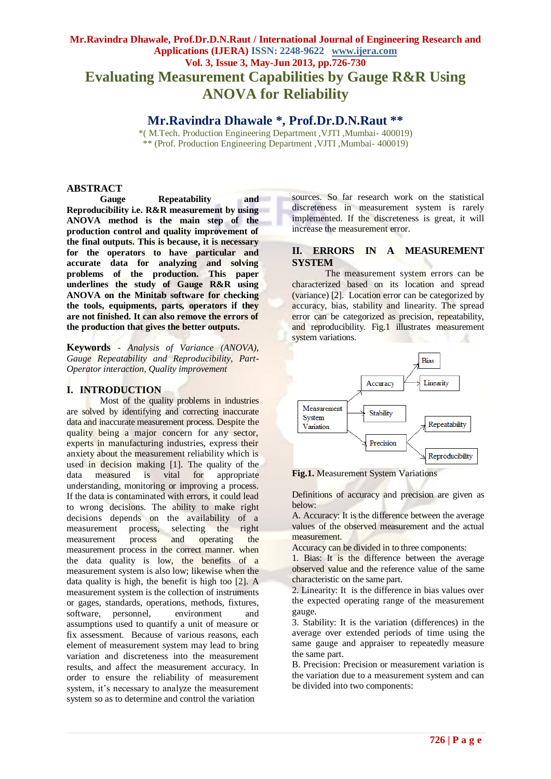## **Mr.Ravindra Dhawale, Prof.Dr.D.N.Raut / International Journal of Engineering Research and Applications (IJERA) ISSN: 2248-9622 www.ijera.com Vol. 3, Issue 3, May-Jun 2013, pp.726-730 Evaluating Measurement Capabilities by Gauge R&R Using ANOVA for Reliability**

## **Mr.Ravindra Dhawale \*, Prof.Dr.D.N.Raut \*\***

\*( M.Tech. Production Engineering Department ,VJTI ,Mumbai- 400019) \*\* (Prof. Production Engineering Department ,VJTI ,Mumbai- 400019)

## **ABSTRACT**

**Gauge Repeatability and Reproducibility i.e. R&R measurement by using ANOVA method is the main step of the production control and quality improvement of the final outputs. This is because, it is necessary for the operators to have particular and accurate data for analyzing and solving problems of the production. This paper underlines the study of Gauge R&R using ANOVA on the Minitab software for checking the tools, equipments, parts, operators if they are not finished. It can also remove the errors of the production that gives the better outputs.** 

**Keywords** - *Analysis of Variance (ANOVA), Gauge Repeatability and Reproducibility, Part-Operator interaction, Quality improvement*

### **I. INTRODUCTION**

Most of the quality problems in industries are solved by identifying and correcting inaccurate data and inaccurate measurement process. Despite the quality being a major concern for any sector, experts in manufacturing industries, express their anxiety about the measurement reliability which is used in decision making [1]. The quality of the data measured is vital for appropriate understanding, monitoring or improving a process. If the data is contaminated with errors, it could lead to wrong decisions. The ability to make right decisions depends on the availability of a measurement process, selecting the right measurement process and operating the measurement process in the correct manner. when the data quality is low, the benefits of a measurement system is also low; likewise when the data quality is high, the benefit is high too [2]. A measurement system is the collection of instruments or gages, standards, operations, methods, fixtures, software, personnel, environment and assumptions used to quantify a unit of measure or fix assessment. Because of various reasons, each element of measurement system may lead to bring variation and discreteness into the measurement results, and affect the measurement accuracy. In order to ensure the reliability of measurement system, it's necessary to analyze the measurement system so as to determine and control the variation

sources. So far research work on the statistical discreteness in measurement system is rarely implemented. If the discreteness is great, it will increase the measurement error.

## **II. ERRORS IN A MEASUREMENT SYSTEM**

The measurement system errors can be characterized based on its location and spread (variance) [2]. Location error can be categorized by accuracy, bias, stability and linearity. The spread error can be categorized as precision, repeatability, and reproducibility. Fig.1 illustrates measurement system variations.



**Fig.1.** Measurement System Variations

Definitions of accuracy and precision are given as below:

A. Accuracy: It is the difference between the average values of the observed measurement and the actual measurement.

Accuracy can be divided in to three components:

1. Bias: It is the difference between the average observed value and the reference value of the same characteristic on the same part.

2. Linearity: It is the difference in bias values over the expected operating range of the measurement gauge.

3. Stability: It is the variation (differences) in the average over extended periods of time using the same gauge and appraiser to repeatedly measure the same part.

B. Precision: Precision or measurement variation is the variation due to a measurement system and can be divided into two components: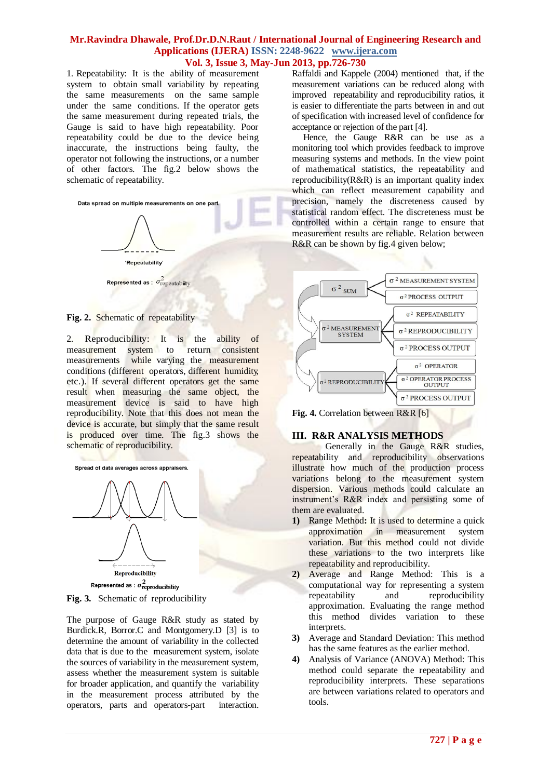## **Mr.Ravindra Dhawale, Prof.Dr.D.N.Raut / International Journal of Engineering Research and Applications (IJERA) ISSN: 2248-9622 www.ijera.com Vol. 3, Issue 3, May-Jun 2013, pp.726-730**

1. Repeatability: It is the ability of measurement system to obtain small variability by repeating the same measurements on the same sample under the same conditions. If the operator gets the same measurement during repeated trials, the Gauge is said to have high repeatability. Poor repeatability could be due to the device being inaccurate, the instructions being faulty, the operator not following the instructions, or a number of other factors. The fig.2 below shows the schematic of repeatability.



#### **Fig. 2.** Schematic of repeatability

2. Reproducibility: It is the ability of measurement system to return consistent measurements while varying the measurement conditions (different operators, different humidity, etc.). If several different operators get the same result when measuring the same object, the measurement device is said to have high reproducibility. Note that this does not mean the device is accurate, but simply that the same result is produced over time. The fig.3 shows the schematic of reproducibility.



**Fig. 3.** Schematic of reproducibility

The purpose of Gauge R&R study as stated by Burdick.R, Borror.C and Montgomery.D [3] is to determine the amount of variability in the collected data that is due to the measurement system, isolate the sources of variability in the measurement system, assess whether the measurement system is suitable for broader application, and quantify the variability in the measurement process attributed by the operators, parts and operators-part interaction.

Raffaldi and Kappele (2004) mentioned that, if the measurement variations can be reduced along with improved repeatability and reproducibility ratios, it is easier to differentiate the parts between in and out of specification with increased level of confidence for acceptance or rejection of the part [4].

 Hence, the Gauge R&R can be use as a monitoring tool which provides feedback to improve measuring systems and methods. In the view point of mathematical statistics, the repeatability and reproducibility(R&R) is an important quality index which can reflect measurement capability and precision, namely the discreteness caused by statistical random effect. The discreteness must be controlled within a certain range to ensure that measurement results are reliable. Relation between R&R can be shown by fig.4 given below;



**Fig. 4.** Correlation between R&R [6]

## **III. R&R ANALYSIS METHODS**

Generally in the Gauge R&R studies, repeatability and reproducibility observations illustrate how much of the production process variations belong to the measurement system dispersion. Various methods could calculate an instrument's R&R index and persisting some of them are evaluated.

- **1)** Range Method**:** It is used to determine a quick approximation in measurement system variation. But this method could not divide these variations to the two interprets like repeatability and reproducibility.
- **2)** Average and Range Method: This is a computational way for representing a system repeatability and reproducibility approximation. Evaluating the range method this method divides variation to these interprets.
- **3)** Average and Standard Deviation: This method has the same features as the earlier method.
- **4)** Analysis of Variance (ANOVA) Method: This method could separate the repeatability and reproducibility interprets. These separations are between variations related to operators and tools.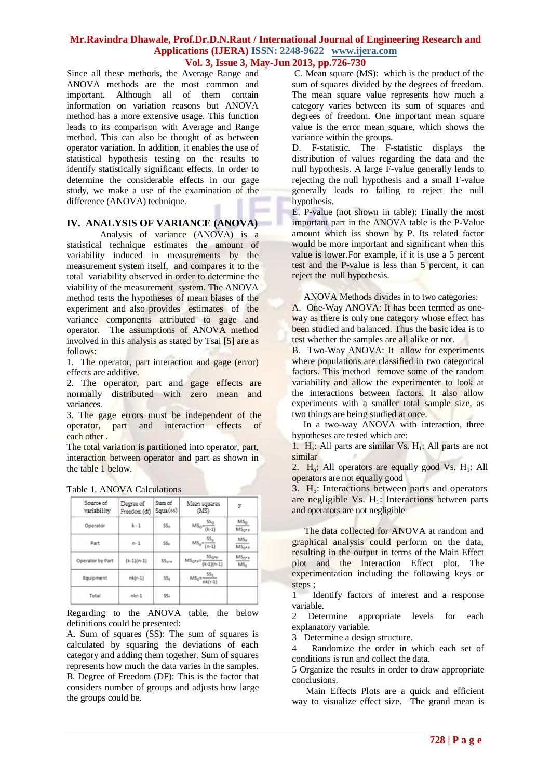## **Mr.Ravindra Dhawale, Prof.Dr.D.N.Raut / International Journal of Engineering Research and Applications (IJERA) ISSN: 2248-9622 www.ijera.com Vol. 3, Issue 3, May-Jun 2013, pp.726-730**

Since all these methods, the Average Range and ANOVA methods are the most common and important. Although all of them contain information on variation reasons but ANOVA method has a more extensive usage. This function leads to its comparison with Average and Range method. This can also be thought of as between operator variation. In addition, it enables the use of statistical hypothesis testing on the results to identify statistically significant effects. In order to determine the considerable effects in our gage study, we make a use of the examination of the difference (ANOVA) technique.

## **IV. ANALYSIS OF VARIANCE (ANOVA)**

Analysis of variance (ANOVA) is a statistical technique estimates the amount of variability induced in measurements by the measurement system itself, and compares it to the total variability observed in order to determine the viability of the measurement system. The ANOVA method tests the hypotheses of mean biases of the experiment and also provides estimates of the variance components attributed to gage and operator. The assumptions of ANOVA method involved in this analysis as stated by Tsai [5] are as follows:

1. The operator, part interaction and gage (error) effects are additive.

2. The operator, part and gage effects are normally distributed with zero mean and variances.

3. The gage errors must be independent of the operator, part and interaction effects of each other .

The total variation is partitioned into operator, part, interaction between operator and part as shown in the table 1 below.

| Source of<br>variability | Degree of<br>Freedom (df) | Sum of<br>Squa(ss) | Mean squares<br>(MS)                           | F                                    |
|--------------------------|---------------------------|--------------------|------------------------------------------------|--------------------------------------|
| Operator                 | $k - 1$                   | SSo                | $MS_0 = \frac{SS_0}{(k-1)}$                    | MS <sub>O</sub><br>MS <sub>O*R</sub> |
| Part                     | $n - 1$                   | SS <sub>R</sub>    | $MS_p = \frac{SS_p}{(n-1)}$                    | $MS_p$<br>MS <sub>OPP</sub>          |
| Operator by Part         | $(k-1)(n-1)$              | $SS0-1$            | $MS_{0^{*}P} = \frac{SS_{0^{*}P}}{(k-1)(n-1)}$ | MS <sub>O*P</sub><br>MS <sub>E</sub> |
| Equipment                | $nk(r-1)$                 | SS <sub>r</sub>    | $MS_E = \frac{SS_E}{nk(r-1)}$                  |                                      |
| Total                    | $nkr-1$                   | SS <sub>n</sub>    |                                                |                                      |

Table 1. ANOVA Calculations

Regarding to the ANOVA table, the below definitions could be presented:

A. Sum of squares (SS): The sum of squares is calculated by squaring the deviations of each category and adding them together. Sum of squares represents how much the data varies in the samples. B. Degree of Freedom (DF): This is the factor that considers number of groups and adjusts how large the groups could be.

C. Mean square (MS): which is the product of the sum of squares divided by the degrees of freedom. The mean square value represents how much a category varies between its sum of squares and degrees of freedom. One important mean square value is the error mean square, which shows the variance within the groups.

D. F-statistic. The F-statistic displays the distribution of values regarding the data and the null hypothesis. A large F-value generally lends to rejecting the null hypothesis and a small F-value generally leads to failing to reject the null hypothesis.

E. P-value (not shown in table): Finally the most important part in the ANOVA table is the P-Value amount which iss shown by P. Its related factor would be more important and significant when this value is lower.For example, if it is use a 5 percent test and the P-value is less than 5 percent, it can reject the null hypothesis.

ANOVA Methods divides in to two categories:

A. One-Way ANOVA: It has been termed as oneway as there is only one category whose effect has been studied and balanced. Thus the basic idea is to test whether the samples are all alike or not.

B. Two-Way ANOVA: It allow for experiments where populations are classified in two categorical factors. This method remove some of the random variability and allow the experimenter to look at the interactions between factors. It also allow experiments with a smaller total sample size, as two things are being studied at once.

 In a two-way ANOVA with interaction, three hypotheses are tested which are:

1.  $H_0$ : All parts are similar Vs.  $H_1$ : All parts are not similar

2.  $H_0$ : All operators are equally good Vs.  $H_1$ : All operators are not equally good

 $3. H<sub>o</sub>$ : Interactions between parts and operators are negligible Vs.  $H_1$ : Interactions between parts and operators are not negligible

 The data collected for ANOVA at random and graphical analysis could perform on the data, resulting in the output in terms of the Main Effect plot and the Interaction Effect plot. The experimentation including the following keys or steps ;

1 Identify factors of interest and a response variable.

2 Determine appropriate levels for each explanatory variable.

3 Determine a design structure.

4 Randomize the order in which each set of conditions is run and collect the data.

5 Organize the results in order to draw appropriate conclusions.

 Main Effects Plots are a quick and efficient way to visualize effect size. The grand mean is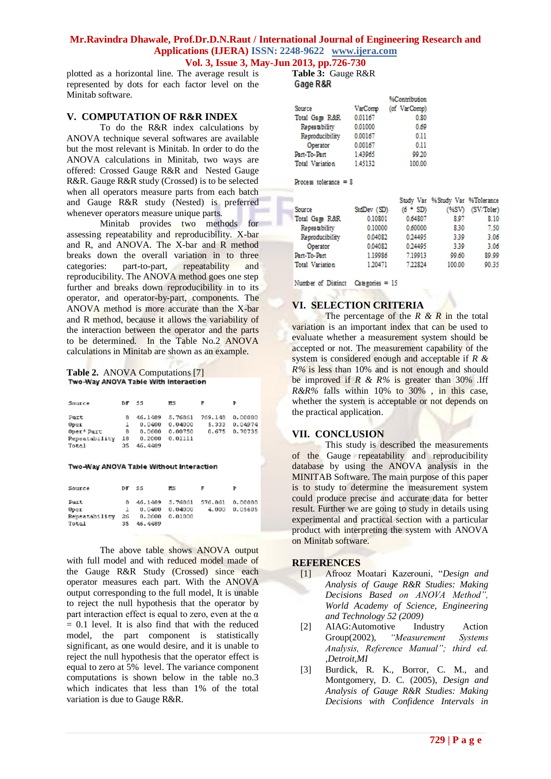# **Mr.Ravindra Dhawale, Prof.Dr.D.N.Raut / International Journal of Engineering Research and Applications (IJERA) ISSN: 2248-9622 www.ijera.com**

**Vol. 3, Issue 3, May-Jun 2013, pp.726-730**

plotted as a horizontal line. The average result is represented by dots for each factor level on the Minitab software.

### **V. COMPUTATION OF R&R INDEX**

To do the R&R index calculations by ANOVA technique several softwares are available but the most relevant is Minitab. In order to do the ANOVA calculations in Minitab, two ways are offered: Crossed Gauge R&R and Nested Gauge R&R. Gauge R&R study (Crossed) is to be selected when all operators measure parts from each batch and Gauge R&R study (Nested) is preferred whenever operators measure unique parts.

Minitab provides two methods for assessing repeatability and reproducibility. X-bar and R, and ANOVA. The X-bar and R method breaks down the overall variation in to three categories: part-to-part, repeatability and reproducibility. The ANOVA method goes one step further and breaks down reproducibility in to its operator, and operator-by-part, components. The ANOVA method is more accurate than the X-bar and R method, because it allows the variability of the interaction between the operator and the parts to be determined. In the Table No.2 ANOVA calculations in Minitab are shown as an example.

# Table 2. ANOVA Computations [7]<br>Two-Way ANOVA Table With Interaction

| Source                               | D.F.           | 55.                         | ĦЗ                 | F                |                    |
|--------------------------------------|----------------|-----------------------------|--------------------|------------------|--------------------|
| Part<br>Oper                         | R              | 46.1489 5.76861<br>0.0400   | 0.04000            | 769.148<br>5.333 | 0.00000<br>0.04974 |
| Oper* Part<br>Repeatability<br>Total | 8<br>18<br>35. | 0.0600<br>0.2000<br>46,4489 | 0.00750<br>0.01111 | 0.675            | 0.70735            |

#### Two-Way ANOVA Table Without Interaction

| Source                                 | DF.             | SS                          | n s                                               | F     |                    |
|----------------------------------------|-----------------|-----------------------------|---------------------------------------------------|-------|--------------------|
| Part<br>Uper<br>Repeatability<br>Total | в.<br>26.<br>35 | 0.0400<br>0.2600<br>46.4489 | 46.1489   5.76861   576.861<br>0.04000<br>0.01000 | 4.000 | 0.00000<br>0.05605 |

The above table shows ANOVA output with full model and with reduced model made of the Gauge R&R Study (Crossed) since each operator measures each part. With the ANOVA output corresponding to the full model, It is unable to reject the null hypothesis that the operator by part interaction effect is equal to zero, even at the  $\alpha$  $= 0.1$  level. It is also find that with the reduced model, the part component is statistically significant, as one would desire, and it is unable to reject the null hypothesis that the operator effect is equal to zero at 5% level. The variance component computations is shown below in the table no.3 which indicates that less than 1% of the total variation is due to Gauge R&R.

**Table 3:** Gauge R&R

|                      |         | %Contribution |
|----------------------|---------|---------------|
| Source               | VarComp | (of VarComp)  |
| Total Gage R&R       | 0.01167 | 0.80          |
| <b>Repeatability</b> | 0.01000 | 0.69          |
| Reproducibility      | 0.00167 | 0.11          |
| Operator             | 0.00167 | 0.11          |
| Part-To-Part         | 1,43965 | 99.20         |
| Total Variation      | 1.45132 | 100.00        |

Process tolerance =  $8$ 

|                 |             |            | Study Var %Study Var %Tolerance |            |
|-----------------|-------------|------------|---------------------------------|------------|
| Source          | StdDev (SD) | $(6 * SD)$ | (%SV)                           | (SV/Toler) |
| Total Gage R&R  | 0.10801     | 0.64807    | 8.07                            | 8.10       |
| Repeatability   | 0.10000     | 0.60000    | 830                             | 7.50       |
| Reproducibility | 0.04082     | 0.24495    | 3.39                            | 3.06       |
| Operator        | 0.04082     | 0.24495    | 3.30                            | 3.06       |
| Part-To-Part    | 1.19986     | 7.19913    | 99.60                           | 89.99      |
| Total Variation | 1,20471     | 722824     | 100.00                          | 90.35      |

Number of Distinct Categories = 15

## **VI. SELECTION CRITERIA**

The percentage of the *R & R* in the total variation is an important index that can be used to evaluate whether a measurement system should be accepted or not. The measurement capability of the system is considered enough and acceptable if *R & R%* is less than 10% and is not enough and should be improved if *R & R%* is greater than 30% .Iff *R&R%* falls within 10% to 30% , in this case, whether the system is acceptable or not depends on the practical application.

## **VII. CONCLUSION**

This study is described the measurements of the Gauge repeatability and reproducibility database by using the ANOVA analysis in the MINITAB Software. The main purpose of this paper is to study to determine the measurement system could produce precise and accurate data for better result. Further we are going to study in details using experimental and practical section with a particular product with interpreting the system with ANOVA on Minitab software.

### **REFERENCES**

- [1] Afrooz Moatari Kazerouni, "*Design and Analysis of Gauge R&R Studies: Making Decisions Based on ANOVA Method", World Academy of Science, Engineering and Technology 52 (2009)*
- [2] AIAG:Automotive Industry Action Group(2002), *"Measurement Systems Analysis, Reference Manual"; third ed. ,Detroit,MI*
- [3] Burdick, R. K., Borror, C. M., and Montgomery, D. C. (2005), *Design and Analysis of Gauge R&R Studies: Making Decisions with Confidence Intervals in*